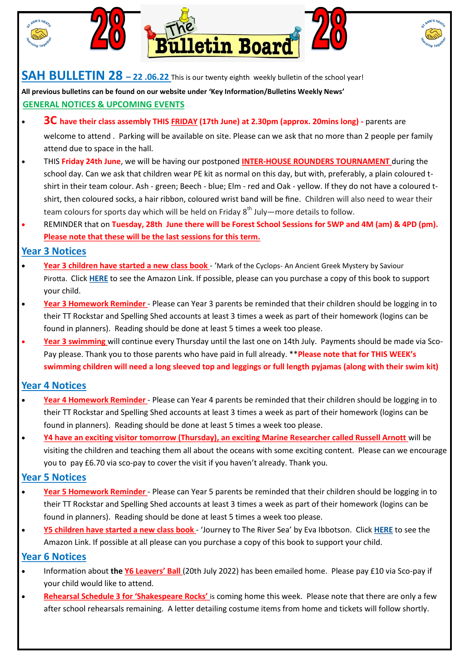

#### **SAH BULLETIN 28 – 22 .06.22** This is our twenty eighth weekly bulletin of the school year!

**All previous bulletins can be found on our website under 'Key Information/Bulletins Weekly News' GENERAL NOTICES & UPCOMING EVENTS**

- **3C have their class assembly THIS FRIDAY (17th June) at 2.30pm (approx. 20mins long) -** parents are welcome to attend . Parking will be available on site. Please can we ask that no more than 2 people per family attend due to space in the hall.
- THIS **Friday 24th June**, we will be having our postponed **INTER-HOUSE ROUNDERS TOURNAMENT** during the school day. Can we ask that children wear PE kit as normal on this day, but with, preferably, a plain coloured tshirt in their team colour. Ash - green; Beech - blue; Elm - red and Oak - yellow. If they do not have a coloured tshirt, then coloured socks, a hair ribbon, coloured wrist band will be fine. Children will also need to wear their team colours for sports day which will be held on Friday  $8<sup>th</sup>$  July—more details to follow.
- REMINDER that on **Tuesday, 28th June there will be Forest School Sessions for 5WP and 4M (am) & 4PD (pm). Please note that these will be the last sessions for this term.**

#### **Year 3 Notices**

- **Year 3 children have started a new class book**  'Mark of the Cyclops- An Ancient Greek Mystery by Saviour Pirotta. Click **[HERE](https://www.amazon.co.uk/Mark-Cyclops-Ancient-Mystery-Flashbacks/dp/1472934148/ref=mp_s_a_1_1?crid=2OLLWGPB4YRHW&keywords=mark+of+the+cyclops&qid=1654614553&sprefix=mark+of+the+cyclops%2Caps%2C154&sr=8-1)** to see the Amazon Link. If possible, please can you purchase a copy of this book to support your child.
- **Year 3 Homework Reminder**  Please can Year 3 parents be reminded that their children should be logging in to their TT Rockstar and Spelling Shed accounts at least 3 times a week as part of their homework (logins can be found in planners). Reading should be done at least 5 times a week too please.
- **Year 3 swimming** will continue every Thursday until the last one on 14th July. Payments should be made via Sco-Pay please. Thank you to those parents who have paid in full already. \*\***Please note that for THIS WEEK's swimming children will need a long sleeved top and leggings or full length pyjamas (along with their swim kit)**

## **Year 4 Notices**

- **Year 4 Homework Reminder**  Please can Year 4 parents be reminded that their children should be logging in to their TT Rockstar and Spelling Shed accounts at least 3 times a week as part of their homework (logins can be found in planners). Reading should be done at least 5 times a week too please.
- **Y4 have an exciting visitor tomorrow (Thursday), an exciting Marine Researcher called Russell Arnott** will be visiting the children and teaching them all about the oceans with some exciting content. Please can we encourage you to pay £6.70 via sco-pay to cover the visit if you haven't already. Thank you.

## **Year 5 Notices**

- **Year 5 Homework Reminder**  Please can Year 5 parents be reminded that their children should be logging in to their TT Rockstar and Spelling Shed accounts at least 3 times a week as part of their homework (logins can be found in planners). Reading should be done at least 5 times a week too please.
- **Y5 children have started a new class book**  'Journey to The River Sea' by Eva Ibbotson. Click **[HERE](https://www.amazon.co.uk/Journey-River-Sea-Eva-Ibbotson/dp/1529066190/ref=sr_1_1?keywords=journey+to+the+river+sea&qid=1653393460&sprefix=journey+to+the+riv%2Caps%2C75&sr=8-1)** to see the Amazon Link. If possible at all please can you purchase a copy of this book to support your child.

## **Year 6 Notices**

- Information about **the Y6 Leavers' Ball** (20th July 2022) has been emailed home. Please pay £10 via Sco-pay if your child would like to attend.
- **Rehearsal Schedule 3 for 'Shakespeare Rocks'** is coming home this week. Please note that there are only a few after school rehearsals remaining. A letter detailing costume items from home and tickets will follow shortly.